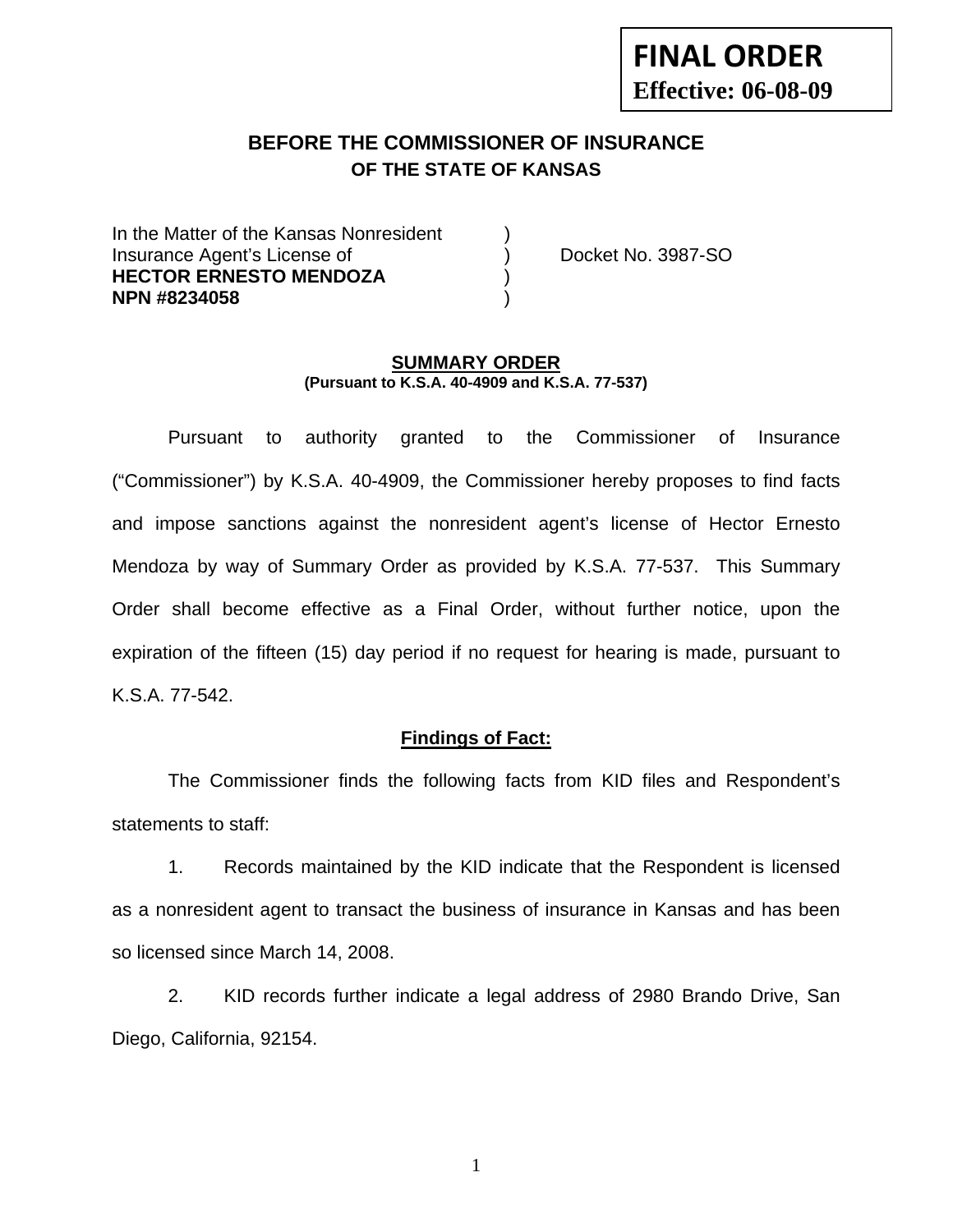# **BEFORE THE COMMISSIONER OF INSURANCE OF THE STATE OF KANSAS**

In the Matter of the Kansas Nonresident Insurance Agent's License of ) Docket No. 3987-SO **HECTOR ERNESTO MENDOZA** ) **NPN #8234058** )

#### **SUMMARY ORDER (Pursuant to K.S.A. 40-4909 and K.S.A. 77-537)**

 Pursuant to authority granted to the Commissioner of Insurance ("Commissioner") by K.S.A. 40-4909, the Commissioner hereby proposes to find facts and impose sanctions against the nonresident agent's license of Hector Ernesto Mendoza by way of Summary Order as provided by K.S.A. 77-537. This Summary Order shall become effective as a Final Order, without further notice, upon the expiration of the fifteen (15) day period if no request for hearing is made, pursuant to K.S.A. 77-542.

## **Findings of Fact:**

 The Commissioner finds the following facts from KID files and Respondent's statements to staff:

 1. Records maintained by the KID indicate that the Respondent is licensed as a nonresident agent to transact the business of insurance in Kansas and has been so licensed since March 14, 2008.

 2. KID records further indicate a legal address of 2980 Brando Drive, San Diego, California, 92154.

1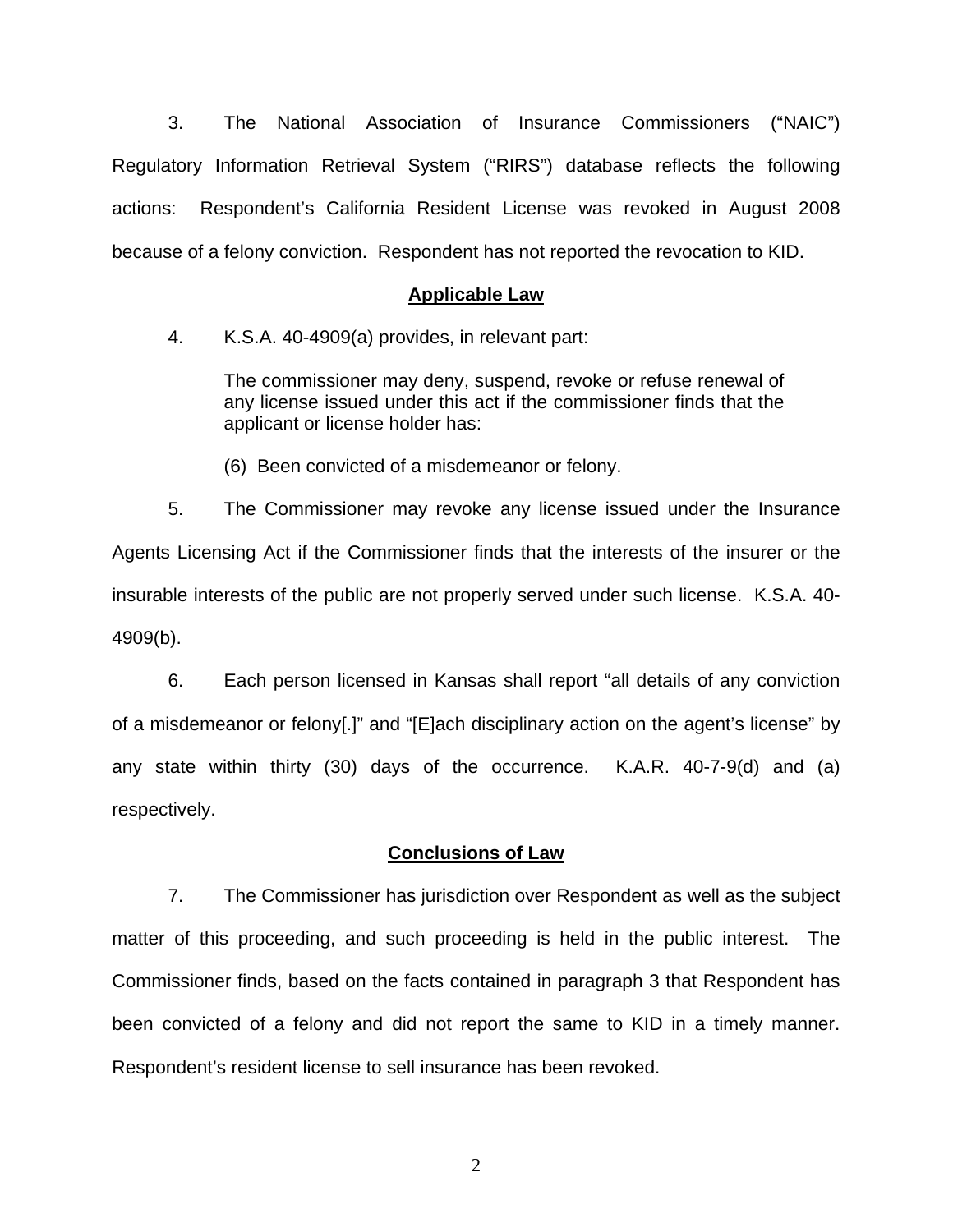3. The National Association of Insurance Commissioners ("NAIC") Regulatory Information Retrieval System ("RIRS") database reflects the following actions: Respondent's California Resident License was revoked in August 2008 because of a felony conviction. Respondent has not reported the revocation to KID.

#### **Applicable Law**

4. K.S.A. 40-4909(a) provides, in relevant part:

The commissioner may deny, suspend, revoke or refuse renewal of any license issued under this act if the commissioner finds that the applicant or license holder has:

(6) Been convicted of a misdemeanor or felony.

 5. The Commissioner may revoke any license issued under the Insurance Agents Licensing Act if the Commissioner finds that the interests of the insurer or the insurable interests of the public are not properly served under such license. K.S.A. 40- 4909(b).

 6. Each person licensed in Kansas shall report "all details of any conviction of a misdemeanor or felony[.]" and "[E]ach disciplinary action on the agent's license" by any state within thirty (30) days of the occurrence. K.A.R. 40-7-9(d) and (a) respectively.

### **Conclusions of Law**

 7. The Commissioner has jurisdiction over Respondent as well as the subject matter of this proceeding, and such proceeding is held in the public interest. The Commissioner finds, based on the facts contained in paragraph 3 that Respondent has been convicted of a felony and did not report the same to KID in a timely manner. Respondent's resident license to sell insurance has been revoked.

2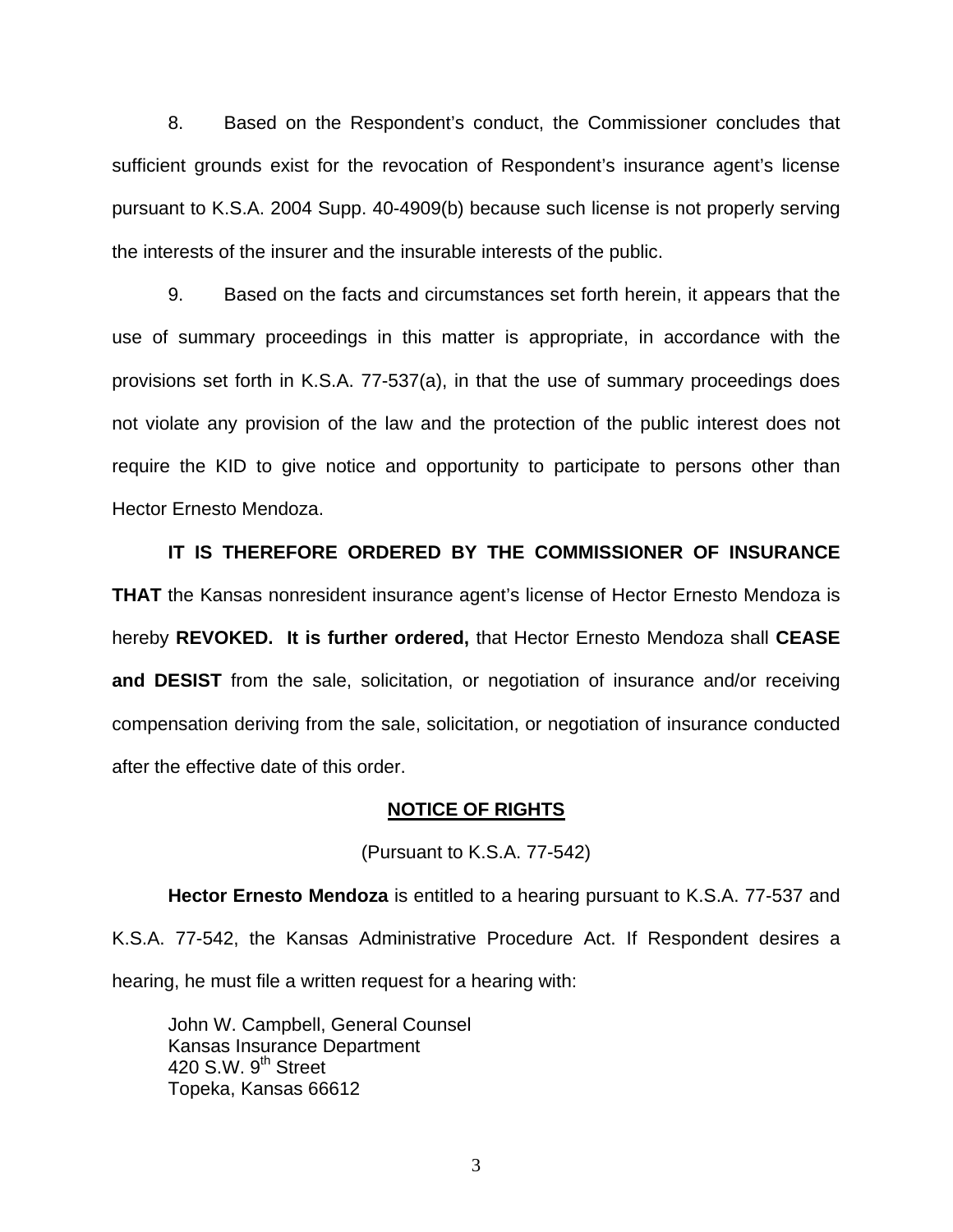8. Based on the Respondent's conduct, the Commissioner concludes that sufficient grounds exist for the revocation of Respondent's insurance agent's license pursuant to K.S.A. 2004 Supp. 40-4909(b) because such license is not properly serving the interests of the insurer and the insurable interests of the public.

 9. Based on the facts and circumstances set forth herein, it appears that the use of summary proceedings in this matter is appropriate, in accordance with the provisions set forth in K.S.A. 77-537(a), in that the use of summary proceedings does not violate any provision of the law and the protection of the public interest does not require the KID to give notice and opportunity to participate to persons other than Hector Ernesto Mendoza.

 **IT IS THEREFORE ORDERED BY THE COMMISSIONER OF INSURANCE THAT** the Kansas nonresident insurance agent's license of Hector Ernesto Mendoza is hereby **REVOKED. It is further ordered,** that Hector Ernesto Mendoza shall **CEASE and DESIST** from the sale, solicitation, or negotiation of insurance and/or receiving compensation deriving from the sale, solicitation, or negotiation of insurance conducted after the effective date of this order.

#### **NOTICE OF RIGHTS**

(Pursuant to K.S.A. 77-542)

**Hector Ernesto Mendoza** is entitled to a hearing pursuant to K.S.A. 77-537 and K.S.A. 77-542, the Kansas Administrative Procedure Act. If Respondent desires a hearing, he must file a written request for a hearing with:

 John W. Campbell, General Counsel Kansas Insurance Department 420 S.W.  $9^{th}$  Street Topeka, Kansas 66612

3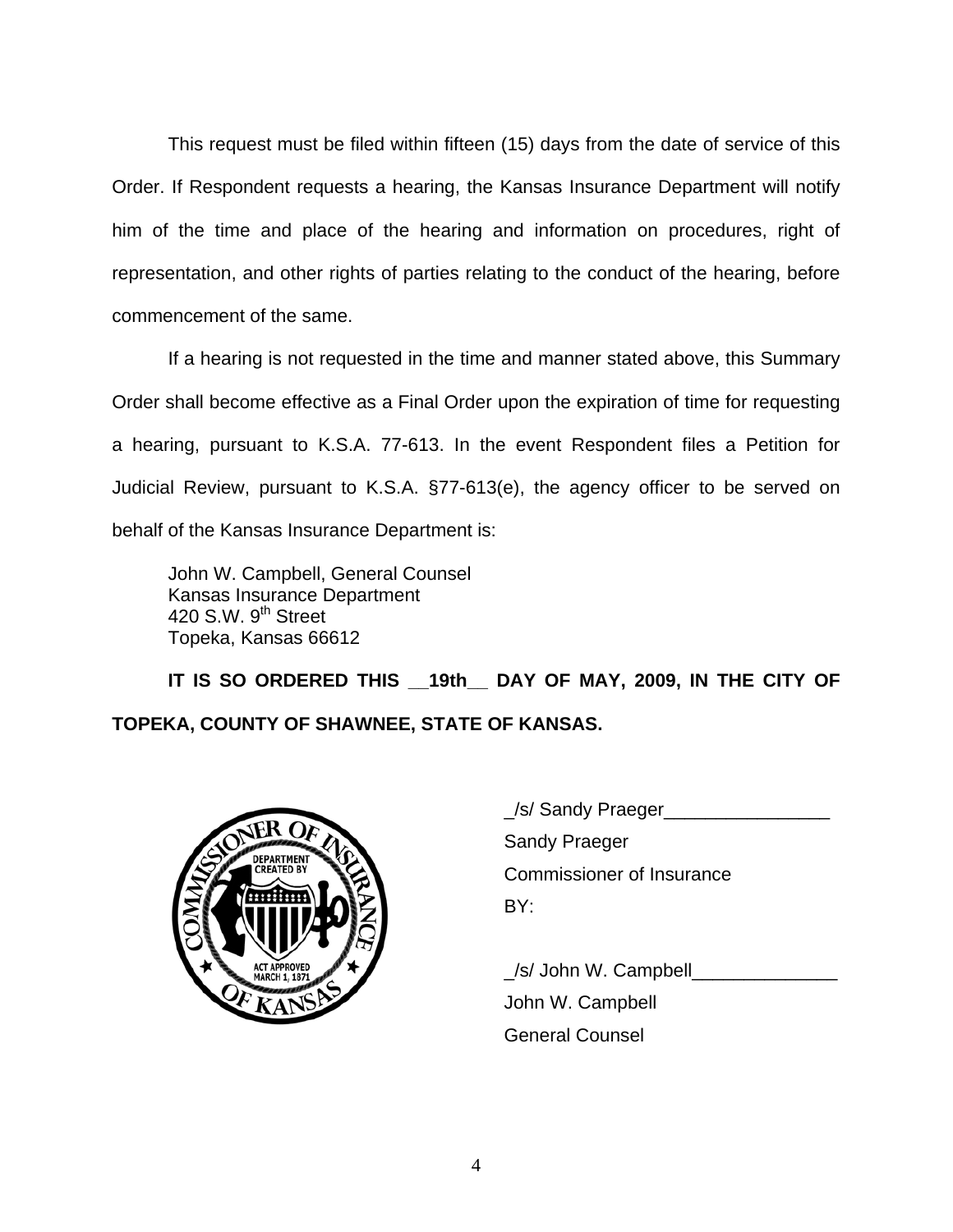This request must be filed within fifteen (15) days from the date of service of this Order. If Respondent requests a hearing, the Kansas Insurance Department will notify him of the time and place of the hearing and information on procedures, right of representation, and other rights of parties relating to the conduct of the hearing, before commencement of the same.

If a hearing is not requested in the time and manner stated above, this Summary Order shall become effective as a Final Order upon the expiration of time for requesting a hearing, pursuant to K.S.A. 77-613. In the event Respondent files a Petition for Judicial Review, pursuant to K.S.A. §77-613(e), the agency officer to be served on behalf of the Kansas Insurance Department is:

 John W. Campbell, General Counsel Kansas Insurance Department 420 S.W. 9<sup>th</sup> Street Topeka, Kansas 66612

 **IT IS SO ORDERED THIS \_\_19th\_\_ DAY OF MAY, 2009, IN THE CITY OF TOPEKA, COUNTY OF SHAWNEE, STATE OF KANSAS.** 



|                                   | _/s/ Sandy Praeger               |
|-----------------------------------|----------------------------------|
| <b>DEPAR</b><br><b>CREATED BY</b> | <b>Sandy Praeger</b>             |
|                                   | <b>Commissioner of Insurance</b> |
|                                   | BY:                              |
|                                   |                                  |

 \_/s/ John W. Campbell\_\_\_\_\_\_\_\_\_\_\_\_\_\_ John W. Campbell General Counsel